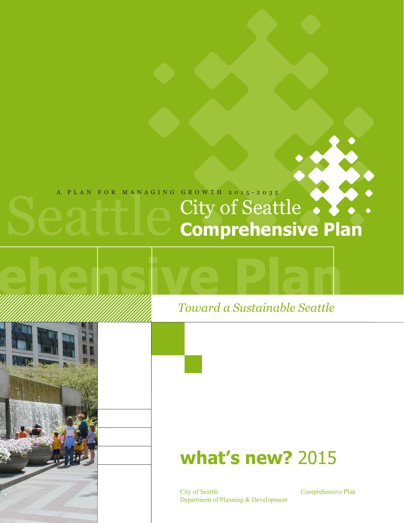## A PLAN FOR MANAGING GROWTH 2015-2035

# City of Seattle **Comprehensive Plan**

## *Toward a Sustainable Seattle*

## **what's new?** 2015

City of Seattle Department of Planning & Development Comprehensive Plan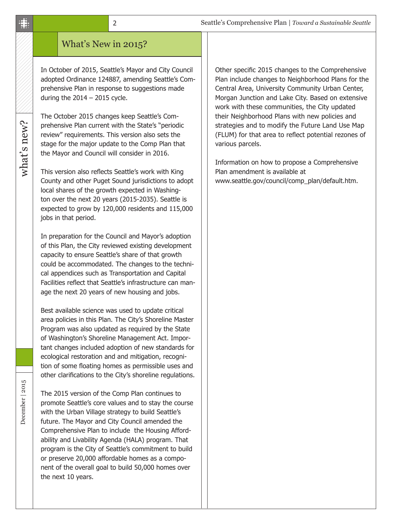#### 2

### What's New in 2015?

In October of 2015, Seattle's Mayor and City Council adopted Ordinance 124887, amending Seattle's Comprehensive Plan in response to suggestions made during the  $2014 - 2015$  cycle.

The October 2015 changes keep Seattle's Comprehensive Plan current with the State's "periodic review" requirements. This version also sets the stage for the major update to the Comp Plan that the Mayor and Council will consider in 2016.

This version also reflects Seattle's work with King County and other Puget Sound jurisdictions to adopt local shares of the growth expected in Washington over the next 20 years (2015-2035). Seattle is expected to grow by 120,000 residents and 115,000 jobs in that period.

In preparation for the Council and Mayor's adoption of this Plan, the City reviewed existing development capacity to ensure Seattle's share of that growth could be accommodated. The changes to the technical appendices such as Transportation and Capital Facilities reflect that Seattle's infrastructure can manage the next 20 years of new housing and jobs.

Best available science was used to update critical area policies in this Plan. The City's Shoreline Master Program was also updated as required by the State of Washington's Shoreline Management Act. Important changes included adoption of new standards for ecological restoration and and mitigation, recognition of some floating homes as permissible uses and other clarifications to the City's shoreline regulations.

The 2015 version of the Comp Plan continues to promote Seattle's core values and to stay the course with the Urban Village strategy to build Seattle's future. The Mayor and City Council amended the Comprehensive Plan to include the Housing Affordability and Livability Agenda (HALA) program. That program is the City of Seattle's commitment to build or preserve 20,000 affordable homes as a component of the overall goal to build 50,000 homes over the next 10 years.

Other specific 2015 changes to the Comprehensive Plan include changes to Neighborhood Plans for the Central Area, University Community Urban Center, Morgan Junction and Lake City. Based on extensive work with these communities, the City updated their Neighborhood Plans with new policies and strategies and to modify the Future Land Use Map (FLUM) for that area to reflect potential rezones of various parcels.

Information on how to propose a Comprehensive Plan amendment is available at www.seattle.gov/council/comp\_plan/default.htm.